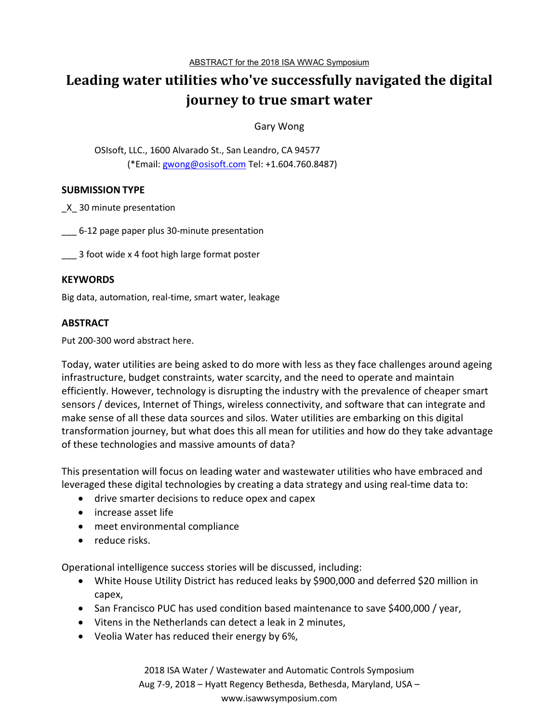# **Leading water utilities who've successfully navigated the digital journey to true smart water**

Gary Wong

OSIsoft, LLC., 1600 Alvarado St., San Leandro, CA 94577 (\*Email: gwong@osisoft.com Tel: +1.604.760.8487)

## **SUBMISSION TYPE**

\_X\_ 30 minute presentation

\_\_\_ 6-12 page paper plus 30-minute presentation

\_\_ 3 foot wide x 4 foot high large format poster

#### **KEYWORDS**

Big data, automation, real-time, smart water, leakage

## **ABSTRACT**

Put 200-300 word abstract here.

Today, water utilities are being asked to do more with less as they face challenges around ageing infrastructure, budget constraints, water scarcity, and the need to operate and maintain efficiently. However, technology is disrupting the industry with the prevalence of cheaper smart sensors / devices, Internet of Things, wireless connectivity, and software that can integrate and make sense of all these data sources and silos. Water utilities are embarking on this digital transformation journey, but what does this all mean for utilities and how do they take advantage of these technologies and massive amounts of data?

This presentation will focus on leading water and wastewater utilities who have embraced and leveraged these digital technologies by creating a data strategy and using real-time data to:

- drive smarter decisions to reduce opex and capex
- increase asset life
- meet environmental compliance
- reduce risks.

Operational intelligence success stories will be discussed, including:

- White House Utility District has reduced leaks by \$900,000 and deferred \$20 million in capex,
- San Francisco PUC has used condition based maintenance to save \$400,000 / year,
- Vitens in the Netherlands can detect a leak in 2 minutes,
- Veolia Water has reduced their energy by 6%,

2018 ISA Water / Wastewater and Automatic Controls Symposium Aug 7-9, 2018 – Hyatt Regency Bethesda, Bethesda, Maryland, USA – www.isawwsymposium.com